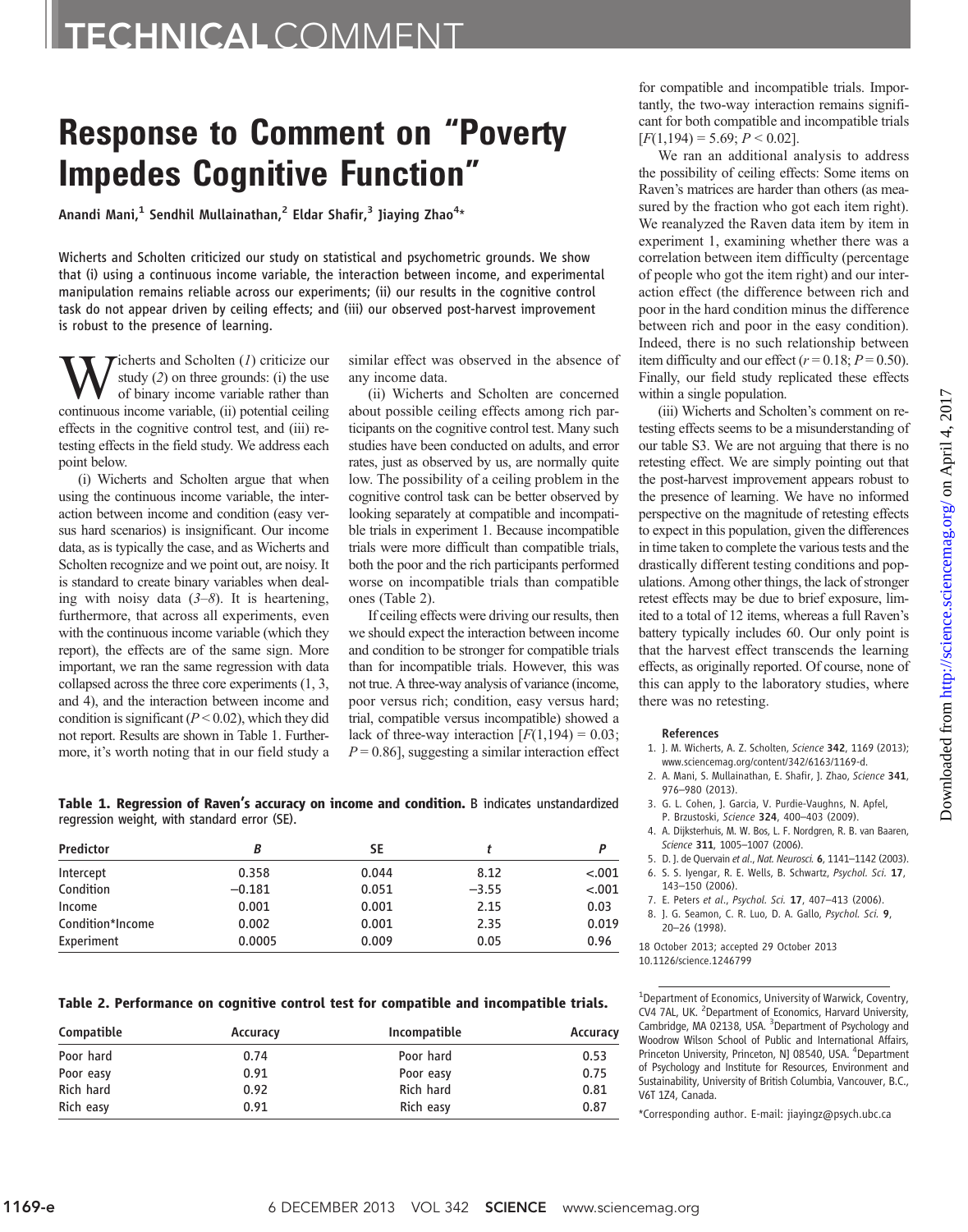## TECHNICALCOMMENT

## Response to Comment on "Poverty Impedes Cognitive Function"

Anandi Mani, $^1$  Sendhil Mullainathan, $^2$  Eldar Shafir, $^3$  Jiaying Zhao $^{4\star}$ 

Wicherts and Scholten criticized our study on statistical and psychometric grounds. We show that (i) using a continuous income variable, the interaction between income, and experimental manipulation remains reliable across our experiments; (ii) our results in the cognitive control task do not appear driven by ceiling effects; and (iii) our observed post-harvest improvement is robust to the presence of learning.

 $\sum_{\text{study } (2) \text{ on three grounds: (i) the use of binary income variable rather than continuous income variable (ii) notential ceiling.}$ study (2) on three grounds: (i) the use continuous income variable, (ii) potential ceiling effects in the cognitive control test, and (iii) retesting effects in the field study. We address each point below.

(i) Wicherts and Scholten argue that when using the continuous income variable, the interaction between income and condition (easy versus hard scenarios) is insignificant. Our income data, as is typically the case, and as Wicherts and Scholten recognize and we point out, are noisy. It is standard to create binary variables when dealing with noisy data  $(3-8)$ . It is heartening, furthermore, that across all experiments, even with the continuous income variable (which they report), the effects are of the same sign. More important, we ran the same regression with data collapsed across the three core experiments (1, 3, and 4), and the interaction between income and condition is significant ( $P < 0.02$ ), which they did not report. Results are shown in Table 1. Furthermore, it's worth noting that in our field study a similar effect was observed in the absence of any income data.

(ii) Wicherts and Scholten are concerned about possible ceiling effects among rich participants on the cognitive control test. Many such studies have been conducted on adults, and error rates, just as observed by us, are normally quite low. The possibility of a ceiling problem in the cognitive control task can be better observed by looking separately at compatible and incompatible trials in experiment 1. Because incompatible trials were more difficult than compatible trials, both the poor and the rich participants performed worse on incompatible trials than compatible ones (Table 2).

If ceiling effects were driving our results, then we should expect the interaction between income and condition to be stronger for compatible trials than for incompatible trials. However, this was not true. A three-way analysis of variance (income, poor versus rich; condition, easy versus hard; trial, compatible versus incompatible) showed a lack of three-way interaction  $[F(1,194) = 0.03;$  $P = 0.86$ , suggesting a similar interaction effect for compatible and incompatible trials. Importantly, the two-way interaction remains significant for both compatible and incompatible trials  $[F(1,194) = 5.69; P \le 0.02]$ .

We ran an additional analysis to address the possibility of ceiling effects: Some items on Raven's matrices are harder than others (as measured by the fraction who got each item right). We reanalyzed the Raven data item by item in experiment 1, examining whether there was a correlation between item difficulty (percentage of people who got the item right) and our interaction effect (the difference between rich and poor in the hard condition minus the difference between rich and poor in the easy condition). Indeed, there is no such relationship between item difficulty and our effect ( $r = 0.18$ ;  $P = 0.50$ ). Finally, our field study replicated these effects within a single population.

(iii) Wicherts and Scholten's comment on retesting effects seems to be a misunderstanding of our table S3. We are not arguing that there is no retesting effect. We are simply pointing out that the post-harvest improvement appears robust to the presence of learning. We have no informed perspective on the magnitude of retesting effects to expect in this population, given the differences in time taken to complete the various tests and the drastically different testing conditions and populations. Among other things, the lack of stronger retest effects may be due to brief exposure, limited to a total of 12 items, whereas a full Raven's battery typically includes 60. Our only point is that the harvest effect transcends the learning effects, as originally reported. Of course, none of this can apply to the laboratory studies, where there was no retesting.

## References

- 1. J. M. Wicherts, A. Z. Scholten, Science 342, 1169 (2013); www.sciencemag.org/content/342/6163/1169-d.
- 2. A. Mani, S. Mullainathan, E. Shafir, J. Zhao, Science 341, 976–980 (2013).
- 3. G. L. Cohen, J. Garcia, V. Purdie-Vaughns, N. Apfel, P. Brzustoski, Science 324, 400–403 (2009).
- 4. A. Dijksterhuis, M. W. Bos, L. F. Nordgren, R. B. van Baaren, Science 311, 1005-1007 (2006).
- 5. D. J. de Quervain et al., Nat. Neurosci. 6, 1141–1142 (2003).
- 6. S. S. Iyengar, R. E. Wells, B. Schwartz, Psychol. Sci. 17,
- 143–150 (2006).
- 7. E. Peters et al., Psychol. Sci. 17, 407–413 (2006).
- 8. J. G. Seamon, C. R. Luo, D. A. Gallo, Psychol. Sci. 9, 20–26 (1998).

18 October 2013; accepted 29 October 2013

<sup>1</sup>Department of Economics, University of Warwick, Coventry, CV4 7AL, UK. <sup>2</sup> Department of Economics, Harvard University, Cambridge, MA 02138, USA. <sup>3</sup>Department of Psychology and Woodrow Wilson School of Public and International Affairs, Princeton University, Princeton, NJ 08540, USA. <sup>4</sup>Department of Psychology and Institute for Resources, Environment and Sustainability, University of British Columbia, Vancouver, B.C., V6T 1Z4, Canada.

\*Corresponding author. E-mail: jiayingz@psych.ubc.ca

Table 1. Regression of Raven*'*s accuracy on income and condition. B indicates unstandardized regression weight, with standard error (SE).

| Predictor        |          | SΕ    |         |         |
|------------------|----------|-------|---------|---------|
| Intercept        | 0.358    | 0.044 | 8.12    | $-.001$ |
| Condition        | $-0.181$ | 0.051 | $-3.55$ | $-.001$ |
| Income           | 0.001    | 0.001 | 2.15    | 0.03    |
| Condition*Income | 0.002    | 0.001 | 2.35    | 0.019   |
| Experiment       | 0.0005   | 0.009 | 0.05    | 0.96    |

Table 2. Performance on cognitive control test for compatible and incompatible trials.

| Compatible | Incompatible<br>Accuracy |           | Accuracy |
|------------|--------------------------|-----------|----------|
| Poor hard  | 0.74                     | Poor hard | 0.53     |
| Poor easy  | 0.91                     | Poor easy | 0.75     |
| Rich hard  | 0.92                     | Rich hard | 0.81     |
| Rich easy  | 0.91                     | Rich easy | 0.87     |

<sup>10.1126/</sup>science.1246799